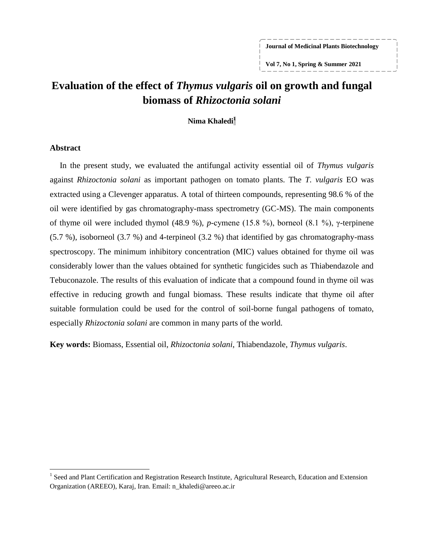**Journal of Medicinal Plants Biotechnology**

**Vol 7, No 1, Spring & Summer 2021**

# **Evaluation of the effect of** *Thymus vulgaris* **oil on growth and fungal biomass of** *Rhizoctonia solani*

**Nima Khaledi<sup>1</sup>**

### **Abstract**

 $\overline{a}$ 

In the present study, we evaluated the antifungal activity essential oil of *Thymus vulgaris* against *Rhizoctonia solani* as important pathogen on tomato plants. The *T. vulgaris* EO was extracted using a Clevenger apparatus. A total of thirteen compounds, representing 98.6 % of the oil were identified by gas chromatography-mass spectrometry (GC-MS). The main components of thyme oil were included thymol (48.9 %), *p*-cymene (15.8 %), borneol (8.1 %), γ-terpinene (5.7 %), isoborneol (3.7 %) and 4-terpineol (3.2 %) that identified by gas chromatography-mass spectroscopy. The minimum inhibitory concentration (MIC) values obtained for thyme oil was considerably lower than the values obtained for synthetic fungicides such as Thiabendazole and Tebuconazole. The results of this evaluation of indicate that a compound found in thyme oil was effective in reducing growth and fungal biomass. These results indicate that thyme oil after suitable formulation could be used for the control of soil-borne fungal pathogens of tomato, especially *Rhizoctonia solani* are common in many parts of the world.

**Key words:** Biomass, Essential oil, *Rhizoctonia solani*, Thiabendazole, *Thymus vulgaris*.

<sup>&</sup>lt;sup>1</sup> Seed and Plant Certification and Registration Research Institute, Agricultural Research, Education and Extension Organization (AREEO), Karaj, Iran. Email: n\_khaledi@areeo.ac.ir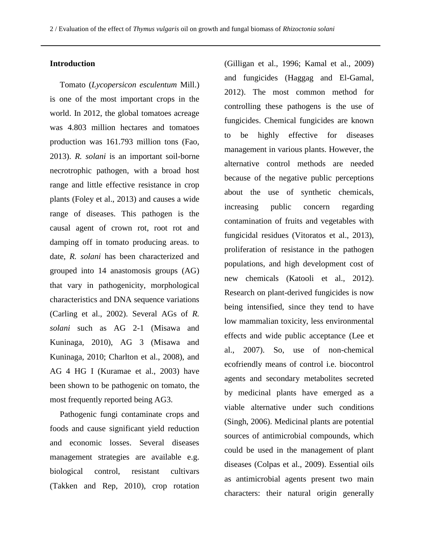### **Introduction**

Tomato (*Lycopersicon esculentum* Mill.) is one of the most important crops in the world. In 2012, the global tomatoes acreage was 4.803 million hectares and tomatoes production was 161.793 million tons (Fao, 2013). *R. solani* is an important soil-borne necrotrophic pathogen, with a broad host range and little effective resistance in crop plants (Foley et al., 2013) and causes a wide range of diseases. This pathogen is the causal agent of crown rot, root rot and damping off in tomato producing areas. to date, *R. solani* has been characterized and grouped into 14 anastomosis groups (AG) that vary in pathogenicity, morphological characteristics and DNA sequence variations (Carling et al., 2002). Several AGs of *R. solani* such as AG 2-1 (Misawa and Kuninaga, 2010), AG 3 (Misawa and Kuninaga, 2010; Charlton et al., 2008), and AG 4 HG I (Kuramae et al., 2003) have been shown to be pathogenic on tomato, the most frequently reported being AG3.

Pathogenic fungi contaminate crops and foods and cause significant yield reduction and economic losses. Several diseases management strategies are available e.g. biological control, resistant cultivars (Takken and Rep, 2010), crop rotation

(Gilligan et al., 1996; Kamal et al., 2009) and fungicides (Haggag and El-Gamal, 2012). The most common method for controlling these pathogens is the use of fungicides. Chemical fungicides are known to be highly effective for diseases management in various plants. However, the alternative control methods are needed because of the negative public perceptions about the use of synthetic chemicals, increasing public concern regarding contamination of fruits and vegetables with fungicidal residues (Vitoratos et al., 2013), proliferation of resistance in the pathogen populations, and high development cost of new chemicals (Katooli et al., 2012). Research on plant-derived fungicides is now being intensified, since they tend to have low mammalian toxicity, less environmental effects and wide public acceptance (Lee et al., 2007). So, use of non-chemical ecofriendly means of control i.e. biocontrol agents and secondary metabolites secreted by medicinal plants have emerged as a viable alternative under such conditions (Singh, 2006). Medicinal plants are potential sources of antimicrobial compounds, which could be used in the management of plant diseases (Colpas et al., 2009). Essential oils as antimicrobial agents present two main characters: their natural origin generally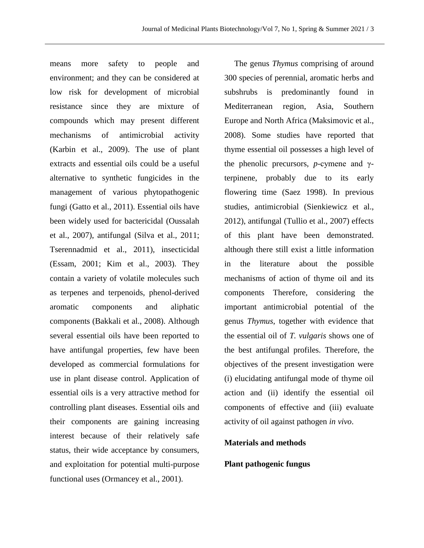means more safety to people and environment; and they can be considered at low risk for development of microbial resistance since they are mixture of compounds which may present different mechanisms of antimicrobial activity (Karbin et al., 2009). The use of plant extracts and essential oils could be a useful alternative to synthetic fungicides in the management of various phytopathogenic fungi (Gatto et al., 2011). Essential oils have been widely used for bactericidal (Oussalah et al., 2007), antifungal (Silva et al., 2011; Tserennadmid et al., 2011), insecticidal (Essam, 2001; Kim et al., 2003). They contain a variety of volatile molecules such as terpenes and terpenoids, phenol-derived aromatic components and aliphatic components (Bakkali et al., 2008). Although several essential oils have been reported to have antifungal properties, few have been developed as commercial formulations for use in plant disease control. Application of essential oils is a very attractive method for controlling plant diseases. Essential oils and their components are gaining increasing interest because of their relatively safe status, their wide acceptance by consumers, and exploitation for potential multi-purpose functional uses (Ormancey et al., 2001).

The genus *Thymus* comprising of around 300 species of perennial, aromatic herbs and subshrubs is predominantly found in Mediterranean region, Asia, Southern Europe and North Africa (Maksimovic et al., 2008). Some studies have reported that thyme essential oil possesses a high level of the phenolic precursors, *p*-cymene and γterpinene, probably due to its early flowering time (Saez 1998). In previous studies, antimicrobial (Sienkiewicz et al., 2012), antifungal (Tullio et al., 2007) effects of this plant have been demonstrated. although there still exist a little information in the literature about the possible mechanisms of action of thyme oil and its components Therefore, considering the important antimicrobial potential of the genus *Thymus*, together with evidence that the essential oil of *T. vulgaris* shows one of the best antifungal profiles. Therefore, the objectives of the present investigation were (i) elucidating antifungal mode of thyme oil action and (ii) identify the essential oil components of effective and (iii) evaluate activity of oil against pathogen *in vivo*.

## **Materials and methods**

### **Plant pathogenic fungus**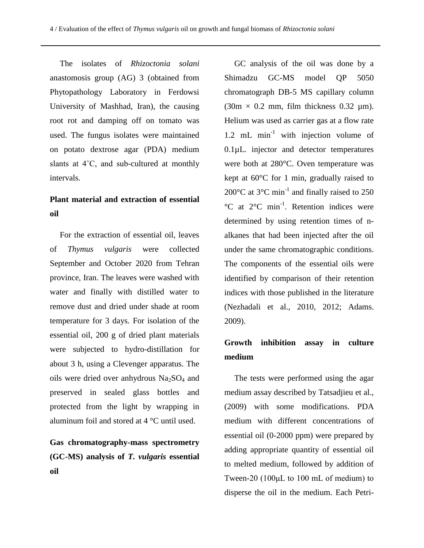The isolates of *Rhizoctonia solani* anastomosis group (AG) 3 (obtained from Phytopathology Laboratory in Ferdowsi University of Mashhad, Iran), the causing root rot and damping off on tomato was used. The fungus isolates were maintained on potato dextrose agar (PDA) medium slants at 4˚C, and sub-cultured at monthly intervals.

## **Plant material and extraction of essential oil**

For the extraction of essential oil, leaves of *Thymus vulgaris* were collected September and October 2020 from Tehran province, Iran. The leaves were washed with water and finally with distilled water to remove dust and dried under shade at room temperature for 3 days. For isolation of the essential oil, 200 g of dried plant materials were subjected to hydro-distillation for about 3 h, using a Clevenger apparatus. The oils were dried over anhydrous  $Na<sub>2</sub>SO<sub>4</sub>$  and preserved in sealed glass bottles and protected from the light by wrapping in aluminum foil and stored at 4 °C until used.

# **Gas chromatography-mass spectrometry (GC-MS) analysis of** *T. vulgaris* **essential oil**

GC analysis of the oil was done by a Shimadzu GC-MS model QP 5050 chromatograph DB-5 MS capillary column  $(30m \times 0.2$  mm, film thickness 0.32 µm). Helium was used as carrier gas at a flow rate 1.2 mL  $min^{-1}$  with injection volume of 0.1µL. injector and detector temperatures were both at 280°C. Oven temperature was kept at 60°C for 1 min, gradually raised to 200 $^{\circ}$ C at 3 $^{\circ}$ C min<sup>-1</sup> and finally raised to 250  $^{\circ}$ C at  $2^{\circ}$ C min<sup>-1</sup>. Retention indices were determined by using retention times of nalkanes that had been injected after the oil under the same chromatographic conditions. The components of the essential oils were identified by comparison of their retention indices with those published in the literature (Nezhadali et al., 2010, 2012; Adams. 2009).

## **Growth inhibition assay in culture medium**

The tests were performed using the agar medium assay described by Tatsadjieu et al., (2009) with some modifications. PDA medium with different concentrations of essential oil (0-2000 ppm) were prepared by adding appropriate quantity of essential oil to melted medium, followed by addition of Tween-20 (100μL to 100 mL of medium) to disperse the oil in the medium. Each Petri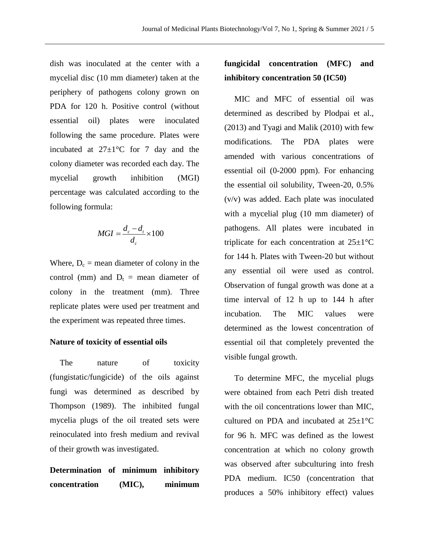dish was inoculated at the center with a mycelial disc (10 mm diameter) taken at the periphery of pathogens colony grown on PDA for 120 h. Positive control (without essential oil) plates were inoculated following the same procedure. Plates were incubated at  $27\pm1\degree$ C for 7 day and the colony diameter was recorded each day. The mycelial growth inhibition (MGI) percentage was calculated according to the following formula:

$$
MGI = \frac{d_c - d_t}{d_c} \times 100
$$

Where,  $D_c$  = mean diameter of colony in the control (mm) and  $D_t$  = mean diameter of colony in the treatment (mm). Three replicate plates were used per treatment and the experiment was repeated three times.

### **Nature of toxicity of essential oils**

The nature of toxicity (fungistatic/fungicide) of the oils against fungi was determined as described by Thompson (1989). The inhibited fungal mycelia plugs of the oil treated sets were reinoculated into fresh medium and revival of their growth was investigated.

**Determination of minimum inhibitory concentration (MIC), minimum** 

## **fungicidal concentration (MFC) and inhibitory concentration 50 (IC50)**

MIC and MFC of essential oil was determined as described by Plodpai et al., (2013) and Tyagi and Malik (2010) with few modifications. The PDA plates were amended with various concentrations of essential oil (0-2000 ppm). For enhancing the essential oil solubility, Tween-20, 0.5% (v/v) was added. Each plate was inoculated with a mycelial plug (10 mm diameter) of pathogens. All plates were incubated in triplicate for each concentration at  $25\pm1\textdegree C$ for 144 h. Plates with Tween-20 but without any essential oil were used as control. Observation of fungal growth was done at a time interval of 12 h up to 144 h after incubation. The MIC values were determined as the lowest concentration of essential oil that completely prevented the visible fungal growth.

To determine MFC, the mycelial plugs were obtained from each Petri dish treated with the oil concentrations lower than MIC, cultured on PDA and incubated at  $25\pm1\degree C$ for 96 h. MFC was defined as the lowest concentration at which no colony growth was observed after subculturing into fresh PDA medium. IC50 (concentration that produces a 50% inhibitory effect) values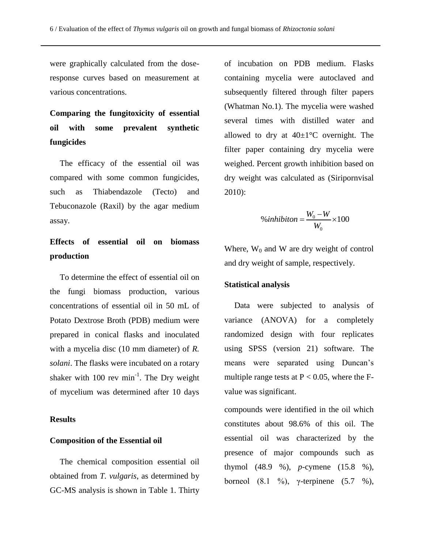were graphically calculated from the doseresponse curves based on measurement at various concentrations.

# **Comparing the fungitoxicity of essential oil with some prevalent synthetic fungicides**

The efficacy of the essential oil was compared with some common fungicides, such as Thiabendazole (Tecto) and Tebuconazole (Raxil) by the agar medium assay.

# **Effects of essential oil on biomass production**

To determine the effect of essential oil on the fungi biomass production, various concentrations of essential oil in 50 mL of Potato Dextrose Broth (PDB) medium were prepared in conical flasks and inoculated with a mycelia disc (10 mm diameter) of *R. solani*. The flasks were incubated on a rotary shaker with  $100$  rev min<sup>-1</sup>. The Dry weight of mycelium was determined after 10 days

### **Results**

#### **Composition of the Essential oil**

The chemical composition essential oil obtained from *T. vulgaris*, as determined by GC-MS analysis is shown in Table 1. Thirty of incubation on PDB medium. Flasks containing mycelia were autoclaved and subsequently filtered through filter papers (Whatman No.1). The mycelia were washed several times with distilled water and allowed to dry at  $40\pm1\degree C$  overnight. The filter paper containing dry mycelia were weighed. Percent growth inhibition based on dry weight was calculated as (Siripornvisal 2010):

$$
\%inhibition = \frac{W_0 - W}{W_0} \times 100
$$

Where,  $W_0$  and W are dry weight of control and dry weight of sample, respectively.

### **Statistical analysis**

Data were subjected to analysis of variance (ANOVA) for a completely randomized design with four replicates using SPSS (version 21) software. The means were separated using Duncan's multiple range tests at  $P < 0.05$ , where the Fvalue was significant.

compounds were identified in the oil which constitutes about 98.6% of this oil. The essential oil was characterized by the presence of major compounds such as thymol (48.9 %), *p*-cymene (15.8 %), borneol (8.1 %), γ-terpinene (5.7 %),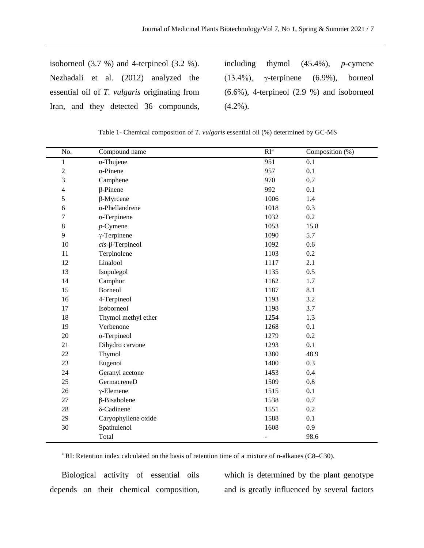| isoborneol $(3.7 \%)$ and 4-terpineol $(3.2 \%)$ .   |  |  |  |  |  |                                       |  |
|------------------------------------------------------|--|--|--|--|--|---------------------------------------|--|
|                                                      |  |  |  |  |  | Nezhadali et al. (2012) analyzed the  |  |
| essential oil of T. <i>vulgaris</i> originating from |  |  |  |  |  |                                       |  |
|                                                      |  |  |  |  |  | Iran, and they detected 36 compounds, |  |

including thymol (45.4%), *p*-cymene (13.4%), γ-terpinene (6.9%), borneol (6.6%), 4-terpineol (2.9 %) and isoborneol  $(4.2\%)$ .

Table 1- Chemical composition of *T. vulgaris* essential oil (%) determined by GC-MS

| No.                     | Compound name              | RI <sup>a</sup> | Composition $(\%)$ |
|-------------------------|----------------------------|-----------------|--------------------|
| $\mathbf{1}$            | $\alpha$ -Thujene          | 951             | 0.1                |
| $\overline{\mathbf{c}}$ | $\alpha$ -Pinene           | 957             | 0.1                |
| 3                       | Camphene                   | 970             | 0.7                |
| $\overline{4}$          | $\beta$ -Pinene            | 992             | 0.1                |
| 5                       | $\beta$ -Myrcene           | 1006            | 1.4                |
| 6                       | $\alpha$ -Phellandrene     | 1018            | 0.3                |
| 7                       | $\alpha$ -Terpinene        | 1032            | 0.2                |
| 8                       | $p$ -Cymene                | 1053            | 15.8               |
| 9                       | $\gamma$ -Terpinene        | 1090            | 5.7                |
| 10                      | $cis$ - $\beta$ -Terpineol | 1092            | 0.6                |
| 11                      | Terpinolene                | 1103            | 0.2                |
| 12                      | Linalool                   | 1117            | 2.1                |
| 13                      | Isopulegol                 | 1135            | 0.5                |
| 14                      | Camphor                    | 1162            | 1.7                |
| 15                      | Borneol                    | 1187            | 8.1                |
| 16                      | 4-Terpineol                | 1193            | 3.2                |
| 17                      | Isoborneol                 | 1198            | 3.7                |
| 18                      | Thymol methyl ether        | 1254            | 1.3                |
| 19                      | Verbenone                  | 1268            | 0.1                |
| 20                      | $\alpha$ -Terpineol        | 1279            | 0.2                |
| 21                      | Dihydro carvone            | 1293            | 0.1                |
| 22                      | Thymol                     | 1380            | 48.9               |
| 23                      | Eugenoi                    | 1400            | 0.3                |
| 24                      | Geranyl acetone            | 1453            | 0.4                |
| 25                      | <b>GermacreneD</b>         | 1509            | 0.8                |
| 26                      | $\gamma$ -Elemene          | 1515            | 0.1                |
| 27                      | β-Bisabolene               | 1538            | 0.7                |
| 28                      | δ-Cadinene                 | 1551            | 0.2                |
| 29                      | Caryophyllene oxide        | 1588            | 0.1                |
| 30                      | Spathulenol                | 1608            | 0.9                |
|                         | Total                      | ÷,              | 98.6               |

<sup>a</sup> RI: Retention index calculated on the basis of retention time of a mixture of n-alkanes (C8–C30).

Biological activity of essential oils depends on their chemical composition,

which is determined by the plant genotype and is greatly influenced by several factors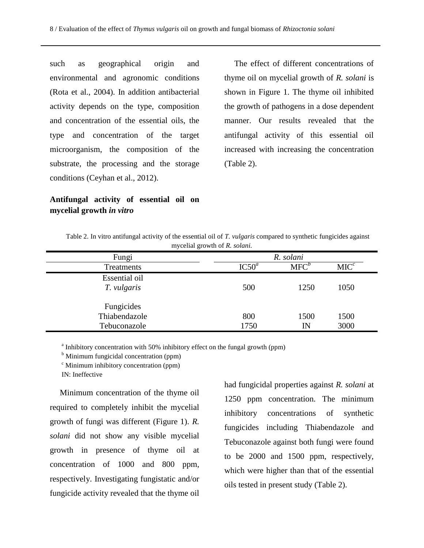such as geographical origin and environmental and agronomic conditions (Rota et al., 2004). In addition antibacterial activity depends on the type, composition and concentration of the essential oils, the type and concentration of the target microorganism, the composition of the substrate, the processing and the storage conditions (Ceyhan et al., 2012).

## **Antifungal activity of essential oil on mycelial growth** *in vitro*

The effect of different concentrations of thyme oil on mycelial growth of *R. solani* is shown in Figure 1. The thyme oil inhibited the growth of pathogens in a dose dependent manner. Our results revealed that the antifungal activity of this essential oil increased with increasing the concentration (Table 2).

| mycelial growth of R. solani.               |                   |            |                  |  |  |
|---------------------------------------------|-------------------|------------|------------------|--|--|
| Fungi                                       |                   | R. solani  |                  |  |  |
| Treatments                                  | IC50 <sup>a</sup> | $MFC^b$    | MIC <sup>c</sup> |  |  |
| Essential oil<br>T. vulgaris                | 500               | 1250       | 1050             |  |  |
| Fungicides<br>Thiabendazole<br>Tebuconazole | 800<br>1750       | 1500<br>IN | 1500<br>3000     |  |  |

Table 2. In vitro antifungal activity of the essential oil of *T. vulgaris* compared to synthetic fungicides against

<sup>a</sup> Inhibitory concentration with 50% inhibitory effect on the fungal growth (ppm)

 $<sup>b</sup>$  Minimum fungicidal concentration (ppm)</sup>

 $\degree$  Minimum inhibitory concentration (ppm)

IN: Ineffective

Minimum concentration of the thyme oil required to completely inhibit the mycelial growth of fungi was different (Figure 1). *R. solani* did not show any visible mycelial growth in presence of thyme oil at concentration of 1000 and 800 ppm, respectively. Investigating fungistatic and/or fungicide activity revealed that the thyme oil

had fungicidal properties against *R. solani* at 1250 ppm concentration. The minimum inhibitory concentrations of synthetic fungicides including Thiabendazole and Tebuconazole against both fungi were found to be 2000 and 1500 ppm, respectively, which were higher than that of the essential oils tested in present study (Table 2).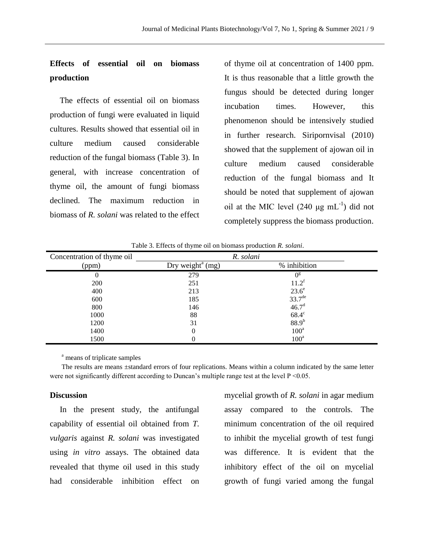## **Effects of essential oil on biomass production**

The effects of essential oil on biomass production of fungi were evaluated in liquid cultures. Results showed that essential oil in culture medium caused considerable reduction of the fungal biomass (Table 3). In general, with increase concentration of thyme oil, the amount of fungi biomass declined. The maximum reduction in biomass of *R. solani* was related to the effect

of thyme oil at concentration of 1400 ppm. It is thus reasonable that a little growth the fungus should be detected during longer incubation times. However, this phenomenon should be intensively studied in further research. Siripornvisal (2010) showed that the supplement of ajowan oil in culture medium caused considerable reduction of the fungal biomass and It should be noted that supplement of ajowan oil at the MIC level  $(240 \mu g \text{ mL}^{-1})$  did not completely suppress the biomass production.

| Concentration of thyme oil | R. solani                  |                    |  |
|----------------------------|----------------------------|--------------------|--|
| (ppm)                      | Dry weight $\text{m}$ (mg) | % inhibition       |  |
|                            | 279                        | $0^{\rm g}$        |  |
| 200                        | 251                        | $11.2^t$           |  |
| 400                        | 213                        | $23.6^\mathrm{e}$  |  |
| 600                        | 185                        | $33.7^{\text{de}}$ |  |
| 800                        | 146                        | 46.7 <sup>d</sup>  |  |
| 1000                       | 88                         | $68.4^{\circ}$     |  |
| 1200                       | 31                         | $88.9^{b}$         |  |
| 1400                       | 0                          | $100^a$            |  |
| 1500                       |                            | $100^a$            |  |

Table 3. Effects of thyme oil on biomass production *R. solani*.

<sup>a</sup> means of triplicate samples

The results are means ±standard errors of four replications. Means within a column indicated by the same letter were not significantly different according to Duncan's multiple range test at the level  $P \le 0.05$ .

#### **Discussion**

In the present study, the antifungal capability of essential oil obtained from *T. vulgaris* against *R. solani* was investigated using *in vitro* assays. The obtained data revealed that thyme oil used in this study had considerable inhibition effect on

mycelial growth of *R. solani* in agar medium assay compared to the controls. The minimum concentration of the oil required to inhibit the mycelial growth of test fungi was difference. It is evident that the inhibitory effect of the oil on mycelial growth of fungi varied among the fungal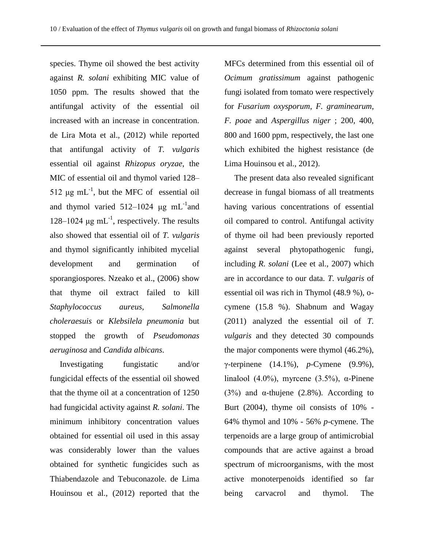species. Thyme oil showed the best activity against *R. solani* exhibiting MIC value of 1050 ppm. The results showed that the antifungal activity of the essential oil increased with an increase in concentration. de Lira Mota et al., (2012) while reported that antifungal activity of *T. vulgaris* essential oil against *Rhizopus oryzae*, the MIC of essential oil and thymol varied 128– 512  $\mu$ g mL<sup>-1</sup>, but the MFC of essential oil and thymol varied  $512-1024$  µg mL<sup>-1</sup> and 128–1024 μg mL<sup>-1</sup>, respectively. The results also showed that essential oil of *T. vulgaris* and thymol significantly inhibited mycelial development and germination of sporangiospores. Nzeako et al., (2006) show that thyme oil extract failed to kill *Staphylococcus aureus*, *Salmonella choleraesuis* or *Klebsilela pneumonia* but stopped the growth of *Pseudomonas aeruginosa* and *Candida albicans*.

Investigating fungistatic and/or fungicidal effects of the essential oil showed that the thyme oil at a concentration of 1250 had fungicidal activity against *R. solani*. The minimum inhibitory concentration values obtained for essential oil used in this assay was considerably lower than the values obtained for synthetic fungicides such as Thiabendazole and Tebuconazole. de Lima Houinsou et al., (2012) reported that the

MFCs determined from this essential oil of *Ocimum gratissimum* against pathogenic fungi isolated from tomato were respectively for *Fusarium oxysporum*, *F. graminearum*, *F. poae* and *Aspergillus niger* ; 200, 400, 800 and 1600 ppm, respectively, the last one which exhibited the highest resistance (de Lima Houinsou et al., 2012).

The present data also revealed significant decrease in fungal biomass of all treatments having various concentrations of essential oil compared to control. Antifungal activity of thyme oil had been previously reported against several phytopathogenic fungi, including *R. solani* (Lee et al., 2007) which are in accordance to our data. *T. vulgaris* of essential oil was rich in Thymol (48.9 %), ocymene (15.8 %). Shabnum and Wagay (2011) analyzed the essential oil of *T. vulgaris* and they detected 30 compounds the major components were thymol (46.2%), γ-terpinene (14.1%), *p*-Cymene (9.9%), linalool (4.0%), myrcene (3.5%), α-Pinene (3%) and  $\alpha$ -thujene (2.8%). According to Burt (2004), thyme oil consists of 10% - 64% thymol and 10% - 56% *p*-cymene. The terpenoids are a large group of antimicrobial compounds that are active against a broad spectrum of microorganisms, with the most active monoterpenoids identified so far being carvacrol and thymol. The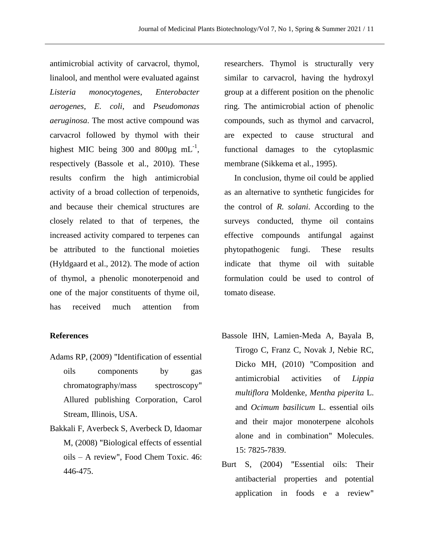antimicrobial activity of carvacrol, thymol, linalool, and menthol were evaluated against *Listeria monocytogenes*, *Enterobacter aerogenes*, *E. coli*, and *Pseudomonas aeruginosa*. The most active compound was carvacrol followed by thymol with their highest MIC being 300 and  $800\mu g$  mL<sup>-1</sup>, respectively (Bassole et al., 2010). These results confirm the high antimicrobial activity of a broad collection of terpenoids, and because their chemical structures are closely related to that of terpenes, the increased activity compared to terpenes can be attributed to the functional moieties (Hyldgaard et al., 2012). The mode of action of thymol, a phenolic monoterpenoid and one of the major constituents of thyme oil, has received much attention from

### **References**

- Adams RP, (2009) "Identification of essential oils components by gas chromatography/mass spectroscopy" Allured publishing Corporation, Carol Stream, Illinois, USA.
- Bakkali F, Averbeck S, Averbeck D, Idaomar M, (2008) "Biological effects of essential oils – A review", Food Chem Toxic. 46: 446-475.

researchers. Thymol is structurally very similar to carvacrol, having the hydroxyl group at a different position on the phenolic ring. The antimicrobial action of phenolic compounds, such as thymol and carvacrol, are expected to cause structural and functional damages to the cytoplasmic membrane (Sikkema et al., 1995).

In conclusion, thyme oil could be applied as an alternative to synthetic fungicides for the control of *R. solani*. According to the surveys conducted, thyme oil contains effective compounds antifungal against phytopathogenic fungi. These results indicate that thyme oil with suitable formulation could be used to control of tomato disease.

- Bassole IHN, Lamien-Meda A, Bayala B, Tirogo C, Franz C, Novak J, Nebie RC, Dicko MH, (2010) "Composition and antimicrobial activities of *Lippia multiflora* Moldenke, *Mentha piperita* L. and *Ocimum basilicum* L. essential oils and their major monoterpene alcohols alone and in combination" Molecules. 15: 7825-7839.
- Burt S, (2004) "Essential oils: Their antibacterial properties and potential application in foods e a review"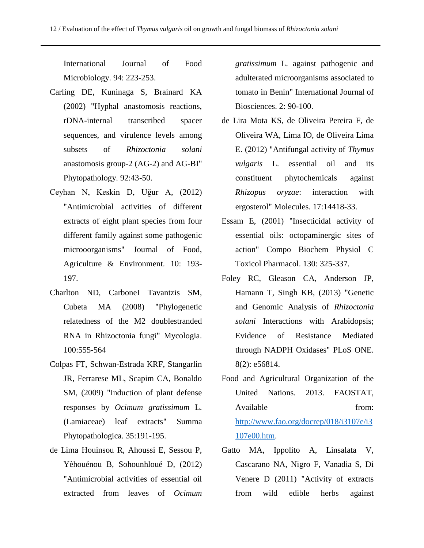International Journal of Food Microbiology. 94: 223-253.

- Carling DE, Kuninaga S, Brainard KA (2002) "Hyphal anastomosis reactions, rDNA-internal transcribed spacer sequences, and virulence levels among subsets of *Rhizoctonia solani* anastomosis group-2 (AG-2) and AG-BI" Phytopathology. 92:43-50.
- Ceyhan N, Keskin D, Uğur A, (2012) "Antimicrobial activities of different extracts of eight plant species from four different family against some pathogenic microoorganisms" Journal of Food, Agriculture & Environment. 10: 193- 197.
- Charlton ND, CarboneI Tavantzis SM, Cubeta MA (2008) "Phylogenetic relatedness of the M2 doublestranded RNA in Rhizoctonia fungi" Mycologia. 100:555-564
- Colpas FT, Schwan-Estrada KRF, Stangarlin JR, Ferrarese ML, Scapim CA, Bonaldo SM, (2009) "Induction of plant defense responses by *Ocimum gratissimum* L. (Lamiaceae) leaf extracts" Summa Phytopathologica. 35:191-195.
- de Lima Houinsou R, Ahoussi E, Sessou P, Yèhouénou B, Sohounhloué D, (2012) "Antimicrobial activities of essential oil extracted from leaves of *Ocimum*

*gratissimum* L. against pathogenic and adulterated microorganisms associated to tomato in Benin" International Journal of Biosciences. 2: 90-100.

- de Lira Mota KS, de Oliveira Pereira F, de Oliveira WA, Lima IO, de Oliveira Lima E. (2012) "Antifungal activity of *Thymus vulgaris* L. essential oil and its constituent phytochemicals against *Rhizopus oryzae*: interaction with ergosterol" Molecules. 17:14418-33.
- Essam E, (2001) "Insecticidal activity of essential oils: octopaminergic sites of action" Compo Biochem Physiol C Toxicol Pharmacol. 130: 325-337.
- Foley RC, Gleason CA, Anderson JP, Hamann T, Singh KB, (2013) "Genetic and Genomic Analysis of *Rhizoctonia solani* Interactions with Arabidopsis; Evidence of Resistance Mediated through NADPH Oxidases" PLoS ONE. 8(2): e56814.
- Food and Agricultural Organization of the United Nations. 2013. FAOSTAT, Available from: [http://www.fao.org/docrep/018/i3107e/i3](http://www.fao.org/docrep/018/i3107e/i3107e00.htm) [107e00.htm.](http://www.fao.org/docrep/018/i3107e/i3107e00.htm)
- Gatto MA, Ippolito A, Linsalata V, Cascarano NA, Nigro F, Vanadia S, Di Venere D (2011) "Activity of extracts from wild edible herbs against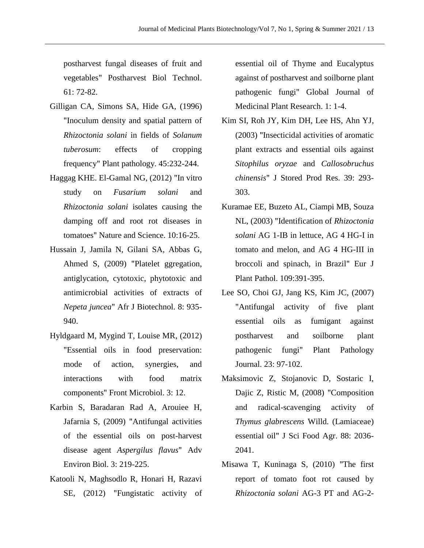postharvest fungal diseases of fruit and vegetables" Postharvest Biol Technol. 61: 72-82.

- Gilligan CA, Simons SA, Hide GA, (1996) "Inoculum density and spatial pattern of *Rhizoctonia solani* in fields of *Solanum tuberosum*: effects of cropping frequency" Plant pathology. 45:232-244.
- Haggag KHE. El-Gamal NG, (2012) "In vitro study on *Fusarium solani* and *Rhizoctonia solani* isolates causing the damping off and root rot diseases in tomatoes" Nature and Science. 10:16-25.
- Hussain J, Jamila N, Gilani SA, Abbas G, Ahmed S, (2009) "Platelet ggregation, antiglycation, cytotoxic, phytotoxic and antimicrobial activities of extracts of *Nepeta juncea*" Afr J Biotechnol. 8: 935- 940.
- Hyldgaard M, Mygind T, Louise MR, (2012) "Essential oils in food preservation: mode of action, synergies, and interactions with food matrix components" Front Microbiol. 3: 12.
- Karbin S, Baradaran Rad A, Arouiee H, Jafarnia S, (2009) "Antifungal activities of the essential oils on post-harvest disease agent *Aspergilus flavus*" Adv Environ Biol. 3: 219-225.
- Katooli N, Maghsodlo R, Honari H, Razavi SE, (2012) "Fungistatic activity of

essential oil of Thyme and Eucalyptus against of postharvest and soilborne plant pathogenic fungi" Global Journal of Medicinal Plant Research. 1: 1-4.

- Kim SI, Roh JY, Kim DH, Lee HS, Ahn YJ, (2003) "Insecticidal activities of aromatic plant extracts and essential oils against *Sitophilus oryzae* and *Callosobruchus chinensis*" J Stored Prod Res. 39: 293- 303.
- Kuramae EE, Buzeto AL, Ciampi MB, Souza NL, (2003) "Identification of *Rhizoctonia solani* AG 1-IB in lettuce, AG 4 HG-I in tomato and melon, and AG 4 HG-III in broccoli and spinach, in Brazil" Eur J Plant Pathol. 109:391-395.
- Lee SO, Choi GJ, Jang KS, Kim JC, (2007) "Antifungal activity of five plant essential oils as fumigant against postharvest and soilborne plant pathogenic fungi" Plant Pathology Journal. 23: 97-102.
- Maksimovic Z, Stojanovic D, Sostaric I, Dajic Z, Ristic M, (2008) "Composition and radical-scavenging activity of *Thymus glabrescens* Willd. (Lamiaceae) essential oil" J Sci Food Agr. 88: 2036- 2041.
- Misawa T, Kuninaga S, (2010) "The first report of tomato foot rot caused by *Rhizoctonia solani* AG-3 PT and AG-2-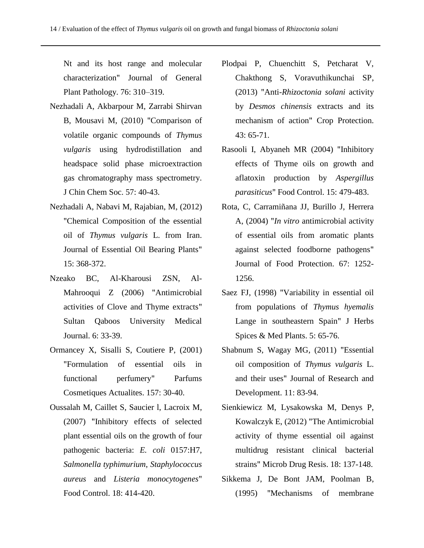Nt and its host range and molecular characterization" Journal of General Plant Pathology. 76: 310–319.

- Nezhadali A, Akbarpour M, Zarrabi Shirvan B, Mousavi M, (2010) "Comparison of volatile organic compounds of *Thymus vulgaris* using hydrodistillation and headspace solid phase microextraction gas chromatography mass spectrometry. J Chin Chem Soc. 57: 40-43.
- Nezhadali A, Nabavi M, Rajabian, M, (2012) "Chemical Composition of the essential oil of *Thymus vulgaris* L. from Iran. Journal of Essential Oil Bearing Plants" 15: 368-372.
- Nzeako BC, Al-Kharousi ZSN, Al-Mahrooqui Z (2006) "Antimicrobial activities of Clove and Thyme extracts" Sultan Qaboos University Medical Journal. 6: 33-39.
- Ormancey X, Sisalli S, Coutiere P, (2001) "Formulation of essential oils in functional perfumery" Parfums Cosmetiques Actualites. 157: 30-40.
- Oussalah M, Caillet S, Saucier l, Lacroix M, (2007) "Inhibitory effects of selected plant essential oils on the growth of four pathogenic bacteria: *E. coli* 0157:H7, *Salmonella typhimurium*, *Staphylococcus aureus* and *Listeria monocytogenes*" Food Control. 18: 414-420.
- Plodpai P, Chuenchitt S, Petcharat V, Chakthong S, Voravuthikunchai SP, (2013) "Anti-*Rhizoctonia solani* activity by *Desmos chinensis* extracts and its mechanism of action" Crop Protection. 43: 65-71.
- Rasooli I, Abyaneh MR (2004) "Inhibitory effects of Thyme oils on growth and aflatoxin production by *Aspergillus parasiticus*" Food Control. 15: 479-483.
- Rota, C, Carramiñana JJ, Burillo J, Herrera A, (2004) "*In vitro* antimicrobial activity of essential oils from aromatic plants against selected foodborne pathogens" Journal of Food Protection. 67: 1252- 1256.
- Saez FJ, (1998) "Variability in essential oil from populations of *Thymus hyemalis* Lange in southeastern Spain" J Herbs Spices & Med Plants. 5: 65-76.
- Shabnum S, Wagay MG, (2011) "Essential oil composition of *Thymus vulgaris* L. and their uses" Journal of Research and Development. 11: 83-94.
- Sienkiewicz M, Lysakowska M, Denys P, Kowalczyk E, (2012) "The Antimicrobial activity of thyme essential oil against multidrug resistant clinical bacterial strains" Microb Drug Resis. 18: 137-148.
- Sikkema J, De Bont JAM, Poolman B, (1995) "Mechanisms of membrane